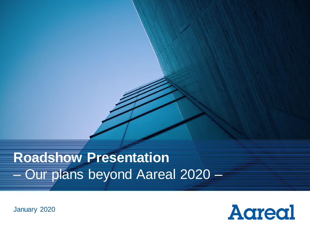# **Roadshow Presentation** – Our plans beyond Aareal 2020 –

January 2020

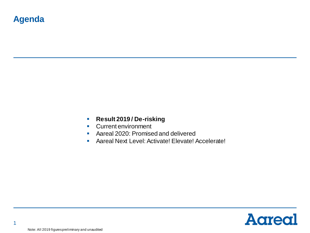- **Result 2019 / De-risking**
- Current environment
- Aareal 2020: Promised and delivered
- **E** Aareal Next Level: Activate! Elevate! Accelerate!



1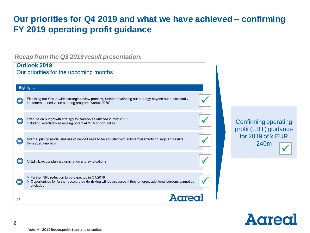### **Our priorities for Q4 2019 and what we have achieved – confirming FY 2019 operating profit guidance**

*Recap from the Q3 2019 result presentation:* 

|    | <b>Outlook 2019</b>                                                                                                                                                               |                                                      |
|----|-----------------------------------------------------------------------------------------------------------------------------------------------------------------------------------|------------------------------------------------------|
|    | Our priorities for the upcoming months                                                                                                                                            |                                                      |
|    | <b>Highlights</b>                                                                                                                                                                 |                                                      |
| ₿  | Finalising our Group-wide strategic review process, further developing our strategy beyond our successfully<br>implemented and value creating program "Aareal 2020"               |                                                      |
|    | Execute on our growth strategy for Aareon as outlined in May 2019,<br>including selectively assessing potential M&A opportunities                                                 | <b>Confirming operating</b><br>profit (EBT) guidance |
| ₿  | Internal pricing model and use of deposit base to be adjusted with substantial effects on segment results<br>from 2020 onwards                                                    | for 2019 of $\ge$ EUR<br>240m                        |
|    | CREF: Execute planned origination and syndications                                                                                                                                |                                                      |
|    | > Further NPL reduction to be expected in Q4/2019<br>> Opportunities for further accelerated de-risking will be assessed if they emerge, additional burdens cannot be<br>excluded |                                                      |
| 27 |                                                                                                                                                                                   |                                                      |

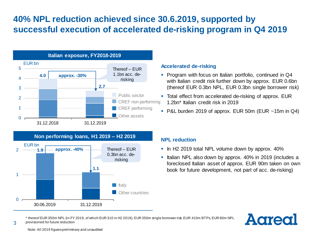### **40% NPL reduction achieved since 30.6.2019, supported by successful execution of accelerated de-risking program in Q4 2019**



#### **Accelerated de-risking**

- Program with focus on Italian portfolio, continued in Q4 with Italian credit risk further down by approx. EUR 0.6bn (thereof EUR 0.3bn NPL, EUR 0.3bn single borrower risk)
- Total effect from accelerated de-risking of approx. EUR 1.2bn\* Italian credit risk in 2019
- $\blacksquare$  P&L burden 2019 of approx. EUR 50m (EUR ~15m in Q4)



- **.** In H2 2019 total NPL volume down by approx. 40%
- Italian NPL also down by approx. 40% in 2019 (includes a foreclosed Italian asset of approx. EUR 90m taken on own book for future development, not part of acc. de-risking)



\* thereof EUR 350m NPL (in FY 2019, of which EUR 310 in H2 2019), EUR 350m single borrower risk, EUR 410m BTPs, EUR 80m NPL provisioned for future reduction



3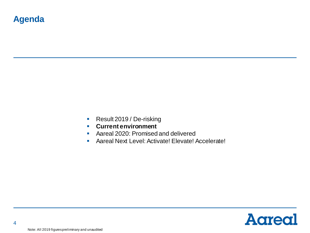- Result 2019 / De-risking
- **Current environment**
- Aareal 2020: Promised and delivered
- **E** Aareal Next Level: Activate! Elevate! Accelerate!

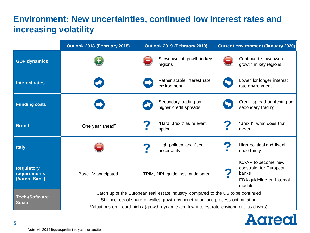## **Environment: New uncertainties, continued low interest rates and increasing volatility**

|                                                                                                                                                                                                                                                                                                           | Outlook 2018 (February 2018) | Outlook 2019 (February 2019)                  | <b>Current environment (January 2020)</b>                                                      |  |
|-----------------------------------------------------------------------------------------------------------------------------------------------------------------------------------------------------------------------------------------------------------------------------------------------------------|------------------------------|-----------------------------------------------|------------------------------------------------------------------------------------------------|--|
| <b>GDP</b> dynamics                                                                                                                                                                                                                                                                                       |                              | Slowdown of growth in key<br>regions          | Continued slowdown of<br>growth in key regions                                                 |  |
| <b>Interest rates</b>                                                                                                                                                                                                                                                                                     |                              | Rather stable interest rate<br>environment    | Lower for longer interest<br>rate environment                                                  |  |
| <b>Funding costs</b>                                                                                                                                                                                                                                                                                      |                              | Secondary trading on<br>higher credit spreads | Credit spread tightening on<br>secondary trading                                               |  |
| <b>Brexit</b>                                                                                                                                                                                                                                                                                             | "One year ahead"             | "Hard Brexit" as relevant<br>option           | "Brexit", what does that<br>mean                                                               |  |
| <b>Italy</b>                                                                                                                                                                                                                                                                                              |                              | High political and fiscal<br>uncertainty      | High political and fiscal<br>uncertainty                                                       |  |
| <b>Regulatory</b><br><b>requirements</b><br>(Aareal Bank)                                                                                                                                                                                                                                                 | <b>Basel IV anticipated</b>  | TRIM, NPL guidelines anticipated              | ICAAP to become new<br>constraint for European<br>banks<br>EBA guideline on internal<br>models |  |
| Catch up of the European real estate industry compared to the US to be continued<br><b>Tech-/Software</b><br>Still pockets of share of wallet growth by penetration and process optimization<br><b>Sector</b><br>Valuations on record highs (growth dynamic and low interest rate environment as drivers) |                              |                                               |                                                                                                |  |

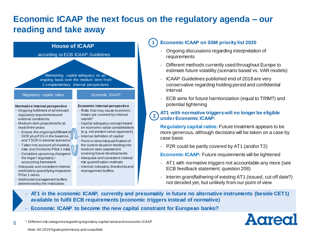### **Economic ICAAP the next focus on the regulatory agenda – our reading and take away**

**1**



### **Economic ICAAP on SSM priority list 2020**

- Ongoing discussions regarding interpretation of requirements
- Different methods currently used throughout Europe to estimate future volatility (scenario based vs. VAR models)
- ICAAP Guidelines published end of 2018 are very conservative regarding holding period and confidential interval
- ECB aims for future harmonization (equal to TRIM?) and potential tightening

#### **AT1 with normative triggers will no longer be eligible under Economic ICAAP: 2**

**Regulatory capital ratios:** Future treatment appears to be more generous, although decisions will be taken on a case by case basis

- P2R could be partly covered by AT1 (and/or T2)

**Economic ICAAP:** Future requirements will be tightened

- AT1 with normative triggers not accountable any more (see ECB feedback statement; question 208)
- Interim grandfathering of existing AT1 (issued, cut off date?) not decided yet, but unlikely from our point of view
- − **AT1 in the economic ICAAP, currently and presumably in future no alternative instruments (beside CET1) available to fulfil ECB requirements (economic triggers instead of normative)**
- − **Economic ICAAP to become the new capital constraint for European banks?**



\* Different risk categories regarding regulatory capital ratios and economic ICAAP

Note: All 2019 figures preliminary and unaudited

6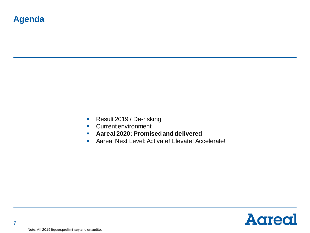- Result 2019 / De-risking
- Current environment
- **Aareal 2020: Promised and delivered**
- Aareal Next Level: Activate! Elevate! Accelerate!

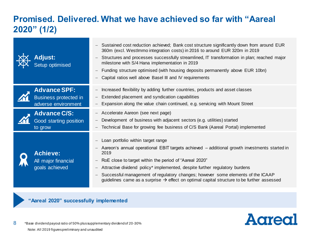## **Promised. Delivered. What we have achieved so far with "Aareal 2020" (1/2)**

| <b>Adjust:</b><br>Setup optimised                                          | Sustained cost reduction achieved; Bank cost structure significantly down from around EUR<br>360m (excl. Westlmmo integration costs) in 2016 to around EUR 320m in 2019<br>Structures and processes successfully streamlined, IT transformation in plan; reached major<br>milestone with S/4 Hana implementation in 2019<br>Funding structure optimised (with housing deposits permanently above EUR 10bn)<br>Capital ratios well above Basel III and IV requirements            |
|----------------------------------------------------------------------------|----------------------------------------------------------------------------------------------------------------------------------------------------------------------------------------------------------------------------------------------------------------------------------------------------------------------------------------------------------------------------------------------------------------------------------------------------------------------------------|
| <b>Advance SPF:</b><br><b>Business protected in</b><br>adverse environment | Increased flexibility by adding further countries, products and asset classes<br>Extended placement and syndication capabilities<br>Expansion along the value chain continued, e.g. servicing with Mount Street                                                                                                                                                                                                                                                                  |
| <b>Advance C/S:</b><br>Good starting position<br>to grow                   | Accelerate Aareon (see next page)<br>Development of business with adjacent sectors (e.g. utilities) started<br>Technical Base for growing fee business of C/S Bank (Aareal Portal) implemented                                                                                                                                                                                                                                                                                   |
| <b>Achieve:</b><br>All major financial<br>goals achieved                   | Loan portfolio within target range<br>Aareon's annual operational EBIT targets achieved – additional growth investments started in<br>2019<br>RoE close to target within the period of "Aareal 2020"<br>Attractive dividend policy* implemented, despite further regulatory burdens<br>Successful management of regulatory changes; however some elements of the ICAAP<br>guidelines came as a surprise $\rightarrow$ effect on optimal capital structure to be further assessed |

### **"Aareal 2020" successfully implemented**

**A**areal

8 \*Base dividend payout ratio of 50% plus supplementary dividend of 20-30% Note: All 2019 figures preliminary and unaudited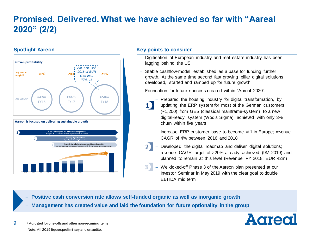## **Promised. Delivered. What we have achieved so far with "Aareal 2020" (2/2)**

### **Spotlight Aareon**



#### **Key points to consider**

- Digitisation of European industry and real estate industry has been lagging behind the US
- Stable cashflow-model established as a base for funding further growth. At the same time second fast growing pillar digital solutions developed, started and ramped up for future growth
- − Foundation for future success created within "Aareal 2020":
	- 1)
- − Prepared the housing industry for digital transformation, by updating the ERP system for most of the German customers (~1,200) from GES (classical mainframe-system) to a new digital-ready system (Wodis Sigma); achieved with only 3% churn within five years
	- − Increase ERP customer base to become # 1 in Europe; revenue CAGR of 4% between 2016 and 2018
	- Developed the digital roadmap and deliver digital solutions; revenue CAGR target of >20% already achieved (9M 2019) and planned to remain at this level (Revenue FY 2018: EUR 42m)
	- − We kicked-off Phase 3 of the Aareon plan presented at our Investor Seminar in May 2019 with the clear goal to double EBITDA mid term

− **Positive cash conversion rate allows self-funded organic as well as inorganic growth** 

− **Management has created value and laid the foundation for future optionality in the group** 

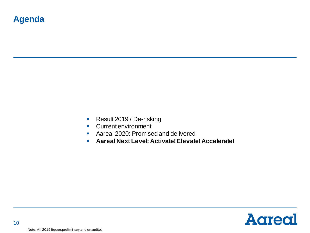- Result 2019 / De-risking
- Current environment
- Aareal 2020: Promised and delivered
- **Aareal Next Level: Activate! Elevate! Accelerate!**

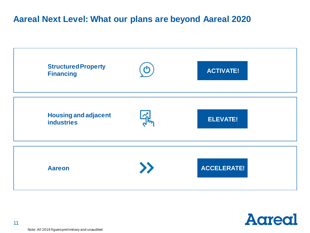### **Aareal Next Level: What our plans are beyond Aareal 2020**



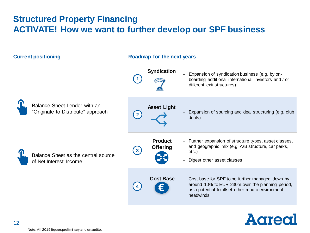### **Structured Property Financing ACTIVATE! How we want to further develop our SPF business**



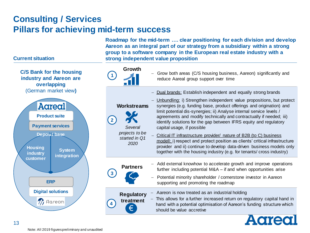### **Consulting / Services Pillars for achieving mid-term success**

**Roadmap for the mid-term …. clear positioning for each division and develop Aareon as an integral part of our strategy from a subsidiary within a strong group to a software company in the European real estate industry with a strong independent value proposition**



#### **Current situation**



**C/S Bank for the housing industry and Aareon are**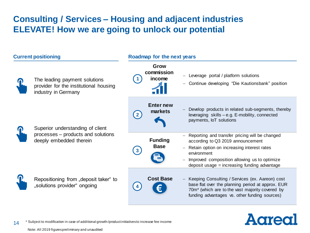## **Consulting / Services – Housing and adjacent industries ELEVATE! How we are going to unlock our potential**



# **Agregi**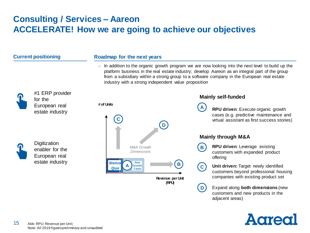## **Consulting / Services – Aareon ACCELERATE! How we are going to achieve our objectives**

| <b>Current positioning</b> |                                                                     | Roadmap for the next years                            |                  |                                                                                                                                                                                                                                                                                                   |  |
|----------------------------|---------------------------------------------------------------------|-------------------------------------------------------|------------------|---------------------------------------------------------------------------------------------------------------------------------------------------------------------------------------------------------------------------------------------------------------------------------------------------|--|
|                            |                                                                     | industry with a strong independent value proposition  |                  | - In addition to the organic growth program we are now looking into the next level to build up the<br>platform business in the real estate industry; develop Aareon as an integral part of the group<br>from a subsidiary within a strong group to a software company in the European real estate |  |
|                            | #1 ERP provider<br>for the                                          |                                                       |                  | <b>Mainly self-funded</b>                                                                                                                                                                                                                                                                         |  |
|                            | European real<br>estate industry                                    | # of Units                                            |                  | RPU driven: Execute organic growth<br>cases (e.g. predictive maintenance and<br>virtual assistant as first success stories)                                                                                                                                                                       |  |
|                            | Digitization<br>enabler for the<br>European real<br>estate industry | M&A Growth<br><b>Dimensions</b>                       |                  | <b>Mainly through M&amp;A</b>                                                                                                                                                                                                                                                                     |  |
|                            |                                                                     |                                                       |                  | RPU driven: Leverage existing<br>customers with expanded product<br>offering                                                                                                                                                                                                                      |  |
|                            |                                                                     | <b>New</b><br><b>Status</b><br>Growth<br>Quo<br>Cases | Revenue per Unit | Unit driven: Target newly identified<br>customers beyond professional housing<br>companies with existing product set                                                                                                                                                                              |  |
|                            |                                                                     |                                                       | (RPU)            | Expand along both dimensions (new<br>customers and new products in the<br>adjacent areas)                                                                                                                                                                                                         |  |